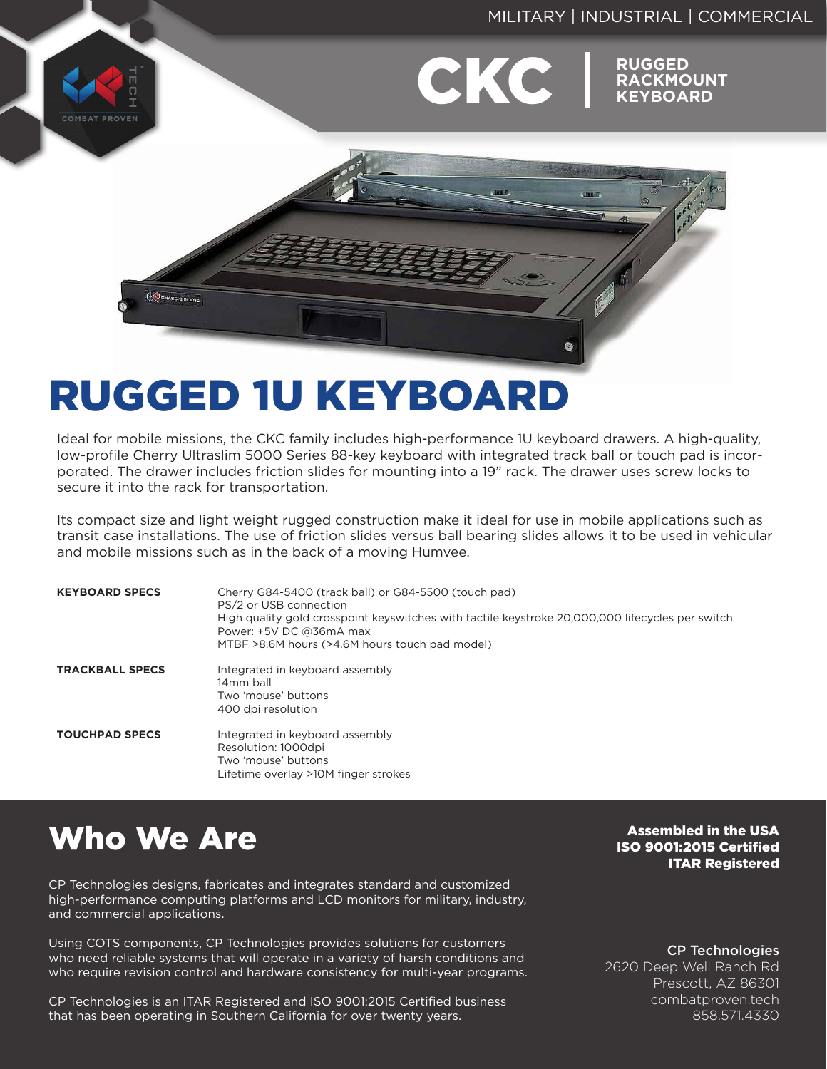# MILITARY | INDUSTRIAL | COMMERCIAL **CKC** RACKMC **RACKMOUNT KEYBOARD COMBAT PROVEN** que n  $\bullet$

# RUGGED 1U KEYBOARD

Ideal for mobile missions, the CKC family includes high-performance 1U keyboard drawers. A high-quality, low-profile Cherry Ultraslim 5000 Series 88-key keyboard with integrated track ball or touch pad is incorporated. The drawer includes friction slides for mounting into a 19" rack. The drawer uses screw locks to secure it into the rack for transportation.

Its compact size and light weight rugged construction make it ideal for use in mobile applications such as transit case installations. The use of friction slides versus ball bearing slides allows it to be used in vehicular and mobile missions such as in the back of a moving Humvee.

| <b>KEYBOARD SPECS</b>  | Cherry G84-5400 (track ball) or G84-5500 (touch pad)<br>PS/2 or USB connection<br>High quality gold crosspoint keyswitches with tactile keystroke 20,000,000 lifecycles per switch<br>Power: +5V DC @36mA max<br>MTBF >8.6M hours (>4.6M hours touch pad model) |
|------------------------|-----------------------------------------------------------------------------------------------------------------------------------------------------------------------------------------------------------------------------------------------------------------|
| <b>TRACKBALL SPECS</b> | Integrated in keyboard assembly<br>14mm ball<br>Two 'mouse' buttons<br>400 dpi resolution                                                                                                                                                                       |
| <b>TOUCHPAD SPECS</b>  | Integrated in keyboard assembly<br>Resolution: 1000dpi<br>Two 'mouse' buttons<br>Lifetime overlay >10M finger strokes                                                                                                                                           |

# Who We Are

CP Technologies designs, fabricates and integrates standard and customized high-performance computing platforms and LCD monitors for military, industry, and commercial applications.

Using COTS components, CP Technologies provides solutions for customers who need reliable systems that will operate in a variety of harsh conditions and who require revision control and hardware consistency for multi-year programs.

CP Technologies is an ITAR Registered and ISO 9001:2015 Certified business that has been operating in Southern California for over twenty years.

Assembled in the USA ISO 9001:2015 Certified ITAR Registered

#### CP Technologies

2620 Deep Well Ranch Rd Prescott, AZ 86301 combatproven.tech 858.571.4330